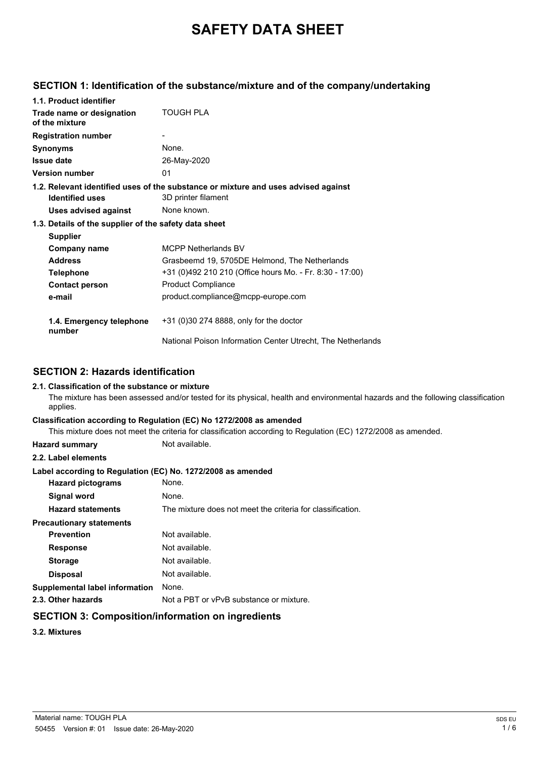# **SAFETY DATA SHEET**

## **SECTION 1: Identification of the substance/mixture and of the company/undertaking**

| 1.1. Product identifier                               |                                                                                                           |  |
|-------------------------------------------------------|-----------------------------------------------------------------------------------------------------------|--|
| Trade name or designation<br>of the mixture           | TOUGH PLA                                                                                                 |  |
| <b>Registration number</b>                            |                                                                                                           |  |
| <b>Synonyms</b>                                       | None.                                                                                                     |  |
| <b>Issue date</b>                                     | 26-May-2020                                                                                               |  |
| <b>Version number</b>                                 | 01                                                                                                        |  |
| <b>Identified uses</b>                                | 1.2. Relevant identified uses of the substance or mixture and uses advised against<br>3D printer filament |  |
| Uses advised against                                  | None known.                                                                                               |  |
| 1.3. Details of the supplier of the safety data sheet |                                                                                                           |  |
| <b>Supplier</b>                                       |                                                                                                           |  |
| <b>Company name</b>                                   | <b>MCPP Netherlands BV</b>                                                                                |  |
| <b>Address</b>                                        | Grasbeemd 19, 5705DE Helmond, The Netherlands                                                             |  |
| <b>Telephone</b>                                      | +31 (0)492 210 210 (Office hours Mo. - Fr. 8:30 - 17:00)                                                  |  |
| <b>Contact person</b>                                 | <b>Product Compliance</b>                                                                                 |  |
| e-mail                                                | product.compliance@mcpp-europe.com                                                                        |  |
| 1.4. Emergency telephone<br>number                    | +31 (0)30 274 8888, only for the doctor                                                                   |  |
|                                                       | National Poison Information Center Utrecht. The Netherlands                                               |  |

## **SECTION 2: Hazards identification**

### **2.1. Classification of the substance or mixture**

The mixture has been assessed and/or tested for its physical, health and environmental hazards and the following classification applies.

### **Classification according to Regulation (EC) No 1272/2008 as amended**

This mixture does not meet the criteria for classification according to Regulation (EC) 1272/2008 as amended.

**Hazard summary** Not available.

### **2.2. Label elements**

### **Label according to Regulation (EC) No. 1272/2008 as amended**

| None.                                                      |
|------------------------------------------------------------|
| None.                                                      |
| The mixture does not meet the criteria for classification. |
|                                                            |
| Not available.                                             |
| Not available.                                             |
| Not available.                                             |
| Not available.                                             |
| None.                                                      |
| Not a PBT or vPvB substance or mixture.                    |
|                                                            |

## **SECTION 3: Composition/information on ingredients**

**3.2. Mixtures**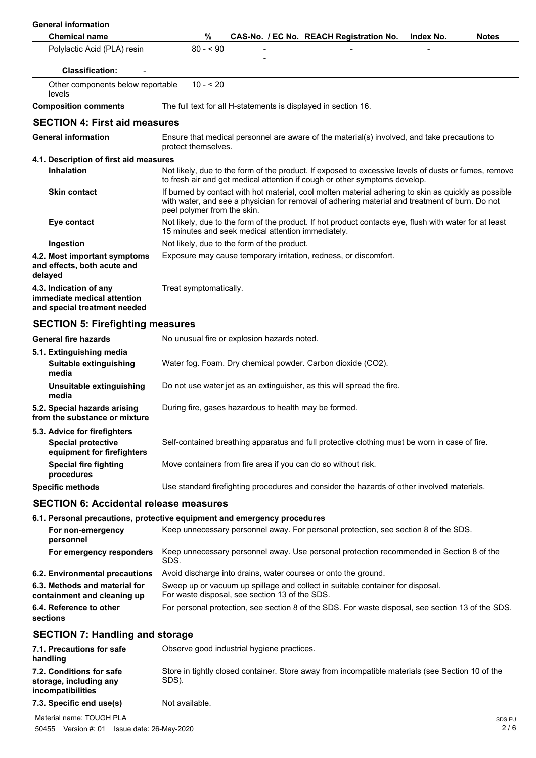| <b>General information</b>                                                            |                                                                                                                                                                                                                                       |
|---------------------------------------------------------------------------------------|---------------------------------------------------------------------------------------------------------------------------------------------------------------------------------------------------------------------------------------|
| <b>Chemical name</b>                                                                  | $\%$<br>CAS-No. / EC No. REACH Registration No.<br>Index No.<br><b>Notes</b>                                                                                                                                                          |
| Polylactic Acid (PLA) resin                                                           | $80 - 90$                                                                                                                                                                                                                             |
| <b>Classification:</b>                                                                |                                                                                                                                                                                                                                       |
| Other components below reportable<br>levels                                           | $10 - 20$                                                                                                                                                                                                                             |
| <b>Composition comments</b>                                                           | The full text for all H-statements is displayed in section 16.                                                                                                                                                                        |
| <b>SECTION 4: First aid measures</b>                                                  |                                                                                                                                                                                                                                       |
| <b>General information</b>                                                            | Ensure that medical personnel are aware of the material(s) involved, and take precautions to<br>protect themselves.                                                                                                                   |
| 4.1. Description of first aid measures                                                |                                                                                                                                                                                                                                       |
| <b>Inhalation</b>                                                                     | Not likely, due to the form of the product. If exposed to excessive levels of dusts or fumes, remove<br>to fresh air and get medical attention if cough or other symptoms develop.                                                    |
| <b>Skin contact</b>                                                                   | If burned by contact with hot material, cool molten material adhering to skin as quickly as possible<br>with water, and see a physician for removal of adhering material and treatment of burn. Do not<br>peel polymer from the skin. |
| Eye contact                                                                           | Not likely, due to the form of the product. If hot product contacts eye, flush with water for at least<br>15 minutes and seek medical attention immediately.                                                                          |
| Ingestion                                                                             | Not likely, due to the form of the product.                                                                                                                                                                                           |
| 4.2. Most important symptoms<br>and effects, both acute and<br>delayed                | Exposure may cause temporary irritation, redness, or discomfort.                                                                                                                                                                      |
| 4.3. Indication of any<br>immediate medical attention<br>and special treatment needed | Treat symptomatically.                                                                                                                                                                                                                |
| <b>SECTION 5: Firefighting measures</b>                                               |                                                                                                                                                                                                                                       |
| <b>General fire hazards</b>                                                           | No unusual fire or explosion hazards noted.                                                                                                                                                                                           |
| 5.1. Extinguishing media                                                              |                                                                                                                                                                                                                                       |
| Suitable extinguishing<br>media                                                       | Water fog. Foam. Dry chemical powder. Carbon dioxide (CO2).                                                                                                                                                                           |
| Unsuitable extinguishing<br>media                                                     | Do not use water jet as an extinguisher, as this will spread the fire.                                                                                                                                                                |
| 5.2. Special hazards arising<br>from the substance or mixture                         | During fire, gases hazardous to health may be formed.                                                                                                                                                                                 |
| 5.3. Advice for firefighters                                                          |                                                                                                                                                                                                                                       |
| <b>Special protective</b><br>equipment for firefighters                               | Self-contained breathing apparatus and full protective clothing must be worn in case of fire.                                                                                                                                         |
| <b>Special fire fighting</b><br>procedures                                            | Move containers from fire area if you can do so without risk.                                                                                                                                                                         |
| <b>Specific methods</b>                                                               | Use standard firefighting procedures and consider the hazards of other involved materials.                                                                                                                                            |
| <b>SECTION 6: Accidental release measures</b>                                         |                                                                                                                                                                                                                                       |
|                                                                                       | 6.1. Personal precautions, protective equipment and emergency procedures                                                                                                                                                              |
| For non-emergency<br>personnel                                                        | Keep unnecessary personnel away. For personal protection, see section 8 of the SDS.                                                                                                                                                   |
| For emergency responders                                                              | Keep unnecessary personnel away. Use personal protection recommended in Section 8 of the<br>SDS.                                                                                                                                      |
| 6.2. Environmental precautions                                                        | Avoid discharge into drains, water courses or onto the ground.                                                                                                                                                                        |
| 6.3. Methods and material for<br>containment and cleaning up                          | Sweep up or vacuum up spillage and collect in suitable container for disposal.<br>For waste disposal, see section 13 of the SDS.                                                                                                      |
| 6.4. Reference to other<br>sections                                                   | For personal protection, see section 8 of the SDS. For waste disposal, see section 13 of the SDS.                                                                                                                                     |
| <b>SECTION 7: Handling and storage</b>                                                |                                                                                                                                                                                                                                       |
| 7.1. Precautions for safe<br>handling                                                 | Observe good industrial hygiene practices.                                                                                                                                                                                            |
| 7.2. Conditions for safe<br>storage, including any<br>incompatibilities               | Store in tightly closed container. Store away from incompatible materials (see Section 10 of the<br>SDS).                                                                                                                             |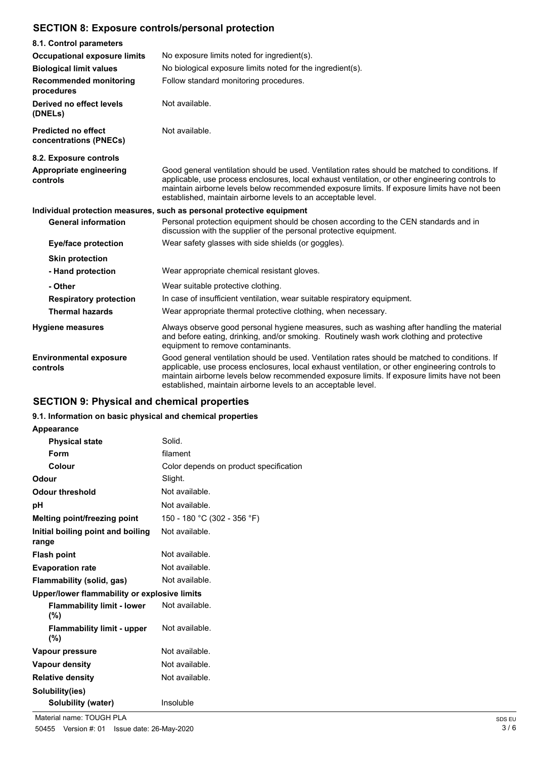## **SECTION 8: Exposure controls/personal protection**

| 8.1. Control parameters                                               |                                                                                                                                                                                                                                                                                                                                                                    |
|-----------------------------------------------------------------------|--------------------------------------------------------------------------------------------------------------------------------------------------------------------------------------------------------------------------------------------------------------------------------------------------------------------------------------------------------------------|
| <b>Occupational exposure limits</b>                                   | No exposure limits noted for ingredient(s).                                                                                                                                                                                                                                                                                                                        |
| <b>Biological limit values</b>                                        | No biological exposure limits noted for the ingredient(s).                                                                                                                                                                                                                                                                                                         |
| <b>Recommended monitoring</b><br>procedures                           | Follow standard monitoring procedures.                                                                                                                                                                                                                                                                                                                             |
| Derived no effect levels<br>(DNELs)                                   | Not available.                                                                                                                                                                                                                                                                                                                                                     |
| <b>Predicted no effect</b><br>concentrations (PNECs)                  | Not available.                                                                                                                                                                                                                                                                                                                                                     |
| 8.2. Exposure controls                                                |                                                                                                                                                                                                                                                                                                                                                                    |
| Appropriate engineering<br>controls                                   | Good general ventilation should be used. Ventilation rates should be matched to conditions. If<br>applicable, use process enclosures, local exhaust ventilation, or other engineering controls to<br>maintain airborne levels below recommended exposure limits. If exposure limits have not been<br>established, maintain airborne levels to an acceptable level. |
| Individual protection measures, such as personal protective equipment |                                                                                                                                                                                                                                                                                                                                                                    |
| <b>General information</b>                                            | Personal protection equipment should be chosen according to the CEN standards and in<br>discussion with the supplier of the personal protective equipment.                                                                                                                                                                                                         |
| <b>Eye/face protection</b>                                            | Wear safety glasses with side shields (or goggles).                                                                                                                                                                                                                                                                                                                |
| <b>Skin protection</b>                                                |                                                                                                                                                                                                                                                                                                                                                                    |
| - Hand protection                                                     | Wear appropriate chemical resistant gloves.                                                                                                                                                                                                                                                                                                                        |
| - Other                                                               | Wear suitable protective clothing.                                                                                                                                                                                                                                                                                                                                 |
| <b>Respiratory protection</b>                                         | In case of insufficient ventilation, wear suitable respiratory equipment.                                                                                                                                                                                                                                                                                          |
| <b>Thermal hazards</b>                                                | Wear appropriate thermal protective clothing, when necessary.                                                                                                                                                                                                                                                                                                      |
| <b>Hygiene measures</b>                                               | Always observe good personal hygiene measures, such as washing after handling the material<br>and before eating, drinking, and/or smoking. Routinely wash work clothing and protective<br>equipment to remove contaminants.                                                                                                                                        |
| <b>Environmental exposure</b><br>controls                             | Good general ventilation should be used. Ventilation rates should be matched to conditions. If<br>applicable, use process enclosures, local exhaust ventilation, or other engineering controls to<br>maintain airborne levels below recommended exposure limits. If exposure limits have not been<br>established, maintain airborne levels to an acceptable level. |

## **SECTION 9: Physical and chemical properties**

### **9.1. Information on basic physical and chemical properties**

### **Appearance**

| <b>Physical state</b>                        | Solid.                                 |
|----------------------------------------------|----------------------------------------|
| Form                                         | filament                               |
| Colour                                       | Color depends on product specification |
| Odour                                        | Slight.                                |
| Odour threshold                              | Not available.                         |
| рH                                           | Not available.                         |
| Melting point/freezing point                 | 150 - 180 °C (302 - 356 °F)            |
| Initial boiling point and boiling<br>range   | Not available.                         |
| <b>Flash point</b>                           | Not available.                         |
| <b>Evaporation rate</b>                      | Not available.                         |
| Flammability (solid, gas)                    | Not available.                         |
| Upper/lower flammability or explosive limits |                                        |
| <b>Flammability limit - lower</b><br>(%)     | Not available.                         |
| <b>Flammability limit - upper</b><br>(%)     | Not available.                         |
| Vapour pressure                              | Not available.                         |
| Vapour density                               | Not available.                         |
| <b>Relative density</b>                      | Not available.                         |
| Solubility(ies)                              |                                        |
| <b>Solubility (water)</b>                    | Insoluble                              |
|                                              |                                        |

Material name: TOUGH PLA SDS EU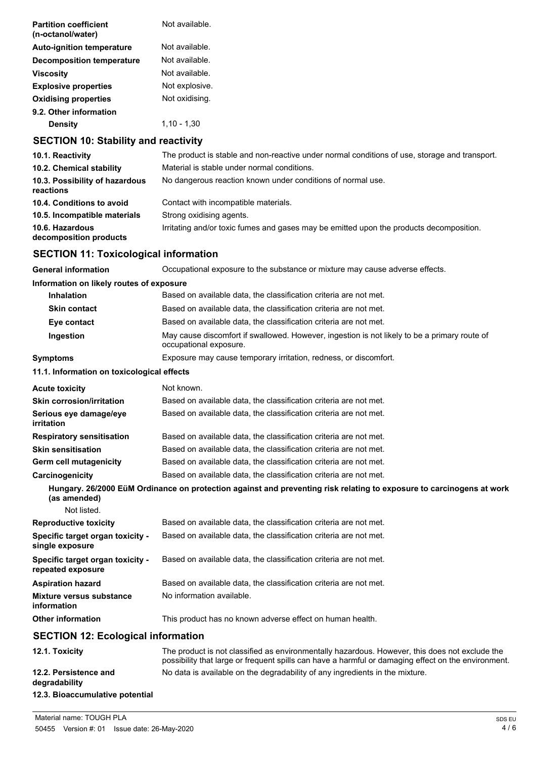| <b>Partition coefficient</b><br>(n-octanol/water) | Not available. |
|---------------------------------------------------|----------------|
| <b>Auto-ignition temperature</b>                  | Not available. |
| Decomposition temperature                         | Not available. |
| <b>Viscosity</b>                                  | Not available. |
| <b>Explosive properties</b>                       | Not explosive. |
| <b>Oxidising properties</b>                       | Not oxidising. |
| 9.2. Other information                            |                |
| <b>Density</b>                                    | $1.10 - 1.30$  |
| <b>SECTION 10: Stability and reactivity</b>       |                |

## **10.1. Reactivity** The product is stable and non-reactive under normal conditions of use, storage and transport. **10.2. Chemical stability** Material is stable under normal conditions. 10.3. Possibility of hazardous No dangerous reaction known under conditions of normal use. **reactions 10.4. Conditions to avoid** Contact with incompatible materials. **10.5. Incompatible materials** Strong oxidising agents. **10.6. Hazardous Interest and/or toxic fumes and gases may be emitted upon the products decomposition. decomposition products**

### **SECTION 11: Toxicological information**

**General information** Occupational exposure to the substance or mixture may cause adverse effects. **Information on likely routes of exposure Inhalation** Based on available data, the classification criteria are not met. **Skin contact** Based on available data, the classification criteria are not met. **Eye contact** Based on available data, the classification criteria are not met. **Ingestion** May cause discomfort if swallowed. However, ingestion is not likely to be a primary route of occupational exposure. **Symptoms** Exposure may cause temporary irritation, redness, or discomfort. **11.1. Information on toxicological effects Acute toxicity** Not known. **Skin corrosion/irritation** Based on available data, the classification criteria are not met. **Serious eye damage/eye** Based on available data, the classification criteria are not met. **irritation Respiratory sensitisation** Based on available data, the classification criteria are not met. **Skin sensitisation** Based on available data, the classification criteria are not met. **Germ cell mutagenicity** Based on available data, the classification criteria are not met. **Carcinogenicity** Based on available data, the classification criteria are not met. **Hungary. 26/2000 EüM Ordinance on protection against and preventing risk relating to exposure to carcinogens at work (as amended)** Not listed. **Reproductive toxicity** Based on available data, the classification criteria are not met. **Specific target organ toxicity single exposure** Based on available data, the classification criteria are not met. **Specific target organ toxicity repeated exposure** Based on available data, the classification criteria are not met. **Aspiration hazard** Based on available data, the classification criteria are not met. **Mixture versus substance** No information available. **information Other information** This product has no known adverse effect on human health. **SECTION 12: Ecological information 12.1. Toxicity** The product is not classified as environmentally hazardous. However, this does not exclude the possibility that large or frequent spills can have a harmful or damaging effect on the environment. **12.2. Persistence and** No data is available on the degradability of any ingredients in the mixture.

## **degradability 12.3. Bioaccumulative potential**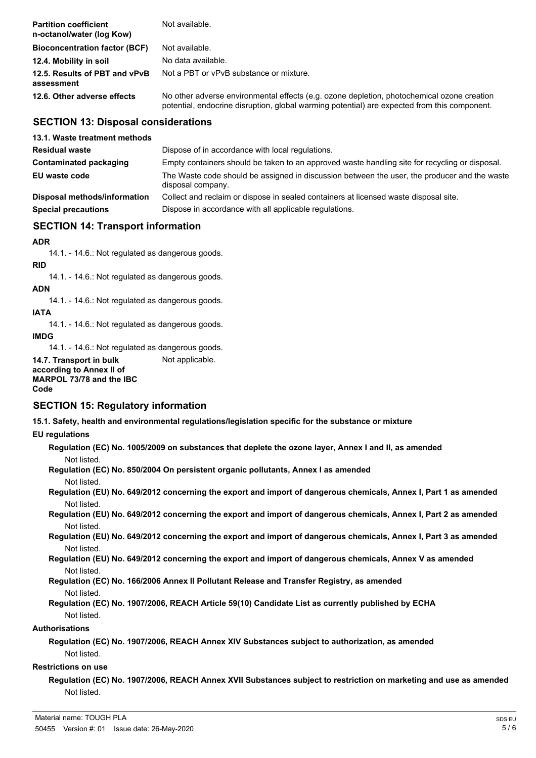| <b>Partition coefficient</b><br>n-octanol/water (log Kow) | Not available.                                                                                                                                                                             |
|-----------------------------------------------------------|--------------------------------------------------------------------------------------------------------------------------------------------------------------------------------------------|
| <b>Bioconcentration factor (BCF)</b>                      | Not available.                                                                                                                                                                             |
| 12.4. Mobility in soil                                    | No data available.                                                                                                                                                                         |
| 12.5. Results of PBT and vPvB<br>assessment               | Not a PBT or vPvB substance or mixture.                                                                                                                                                    |
| 12.6. Other adverse effects                               | No other adverse environmental effects (e.g. ozone depletion, photochemical ozone creation<br>potential, endocrine disruption, global warming potential) are expected from this component. |

### **SECTION 13: Disposal considerations**

| 13.1. Waste treatment methods |                                                                                                                   |
|-------------------------------|-------------------------------------------------------------------------------------------------------------------|
| <b>Residual waste</b>         | Dispose of in accordance with local regulations.                                                                  |
| Contaminated packaging        | Empty containers should be taken to an approved waste handling site for recycling or disposal.                    |
| EU waste code                 | The Waste code should be assigned in discussion between the user, the producer and the waste<br>disposal company. |
| Disposal methods/information  | Collect and reclaim or dispose in sealed containers at licensed waste disposal site.                              |
| <b>Special precautions</b>    | Dispose in accordance with all applicable regulations.                                                            |

## **SECTION 14: Transport information**

### **ADR**

14.1. - 14.6.: Not regulated as dangerous goods.

### **RID**

14.1. - 14.6.: Not regulated as dangerous goods.

### **ADN**

14.1. - 14.6.: Not regulated as dangerous goods.

## **IATA**

14.1. - 14.6.: Not regulated as dangerous goods.

### **IMDG**

14.1. - 14.6.: Not regulated as dangerous goods.

**14.7. Transport in bulk** Not applicable. **according to Annex II of MARPOL 73/78 and the IBC Code**

### **SECTION 15: Regulatory information**

**15.1. Safety, health and environmental regulations/legislation specific for the substance or mixture**

### **EU regulations**

**Regulation (EC) No. 1005/2009 on substances that deplete the ozone layer, Annex I and II, as amended** Not listed.

**Regulation (EC) No. 850/2004 On persistent organic pollutants, Annex I as amended** Not listed.

**Regulation (EU) No. 649/2012 concerning the export and import of dangerous chemicals, Annex I, Part 1 as amended** Not listed.

**Regulation (EU) No. 649/2012 concerning the export and import of dangerous chemicals, Annex I, Part 2 as amended** Not listed.

**Regulation (EU) No. 649/2012 concerning the export and import of dangerous chemicals, Annex I, Part 3 as amended** Not listed.

**Regulation (EU) No. 649/2012 concerning the export and import of dangerous chemicals, Annex V as amended** Not listed.

**Regulation (EC) No. 166/2006 Annex II Pollutant Release and Transfer Registry, as amended** Not listed.

**Regulation (EC) No. 1907/2006, REACH Article 59(10) Candidate List as currently published by ECHA** Not listed.

### **Authorisations**

**Regulation (EC) No. 1907/2006, REACH Annex XIV Substances subject to authorization, as amended** Not listed.

### **Restrictions on use**

**Regulation (EC) No. 1907/2006, REACH Annex XVII Substances subject to restriction on marketing and use as amended** Not listed.